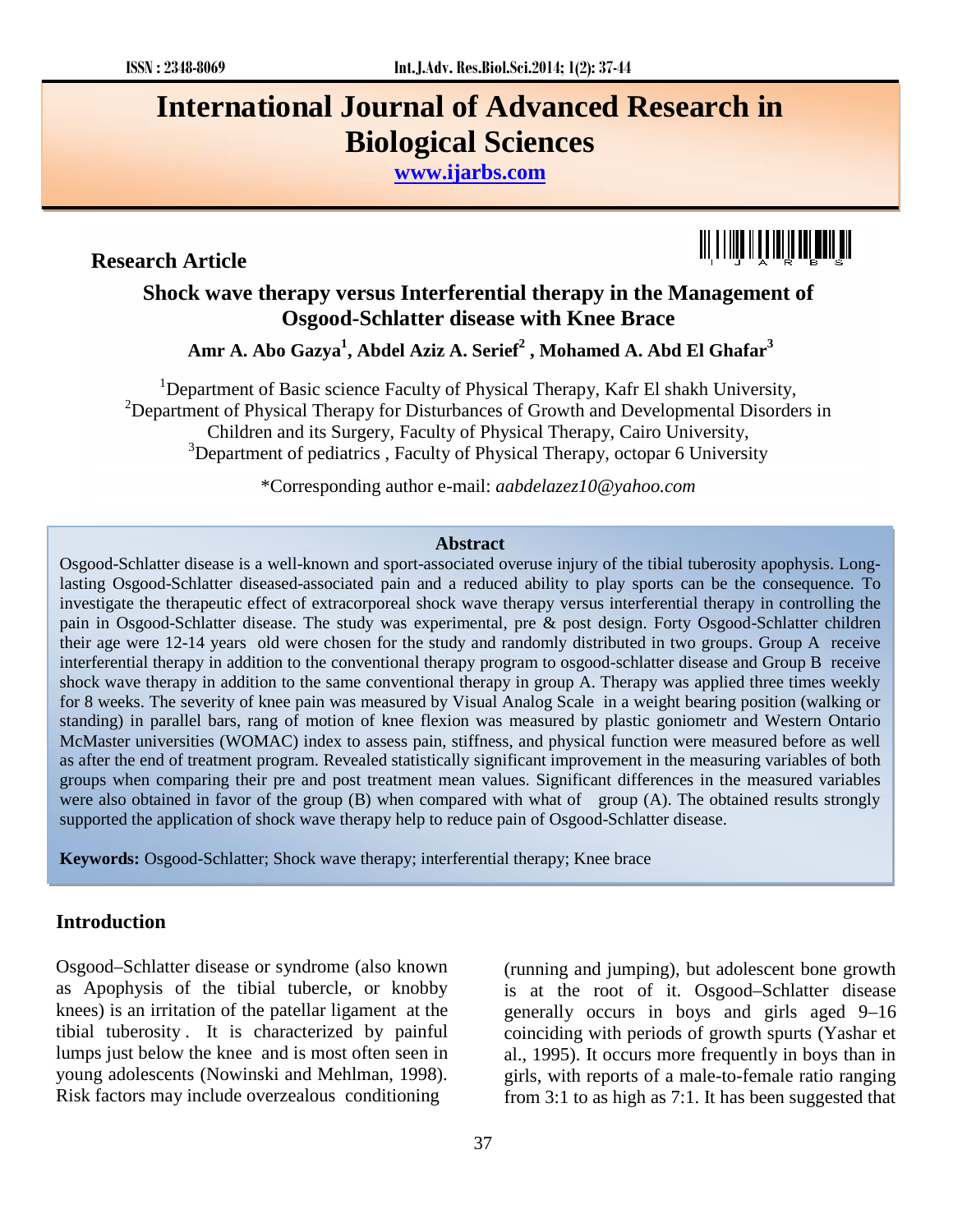# **International Journal of Advanced Research in Biological Sciences**

**www.ijarbs.com**

**Research Article**



# **Shock wave therapy versus Interferential therapy in the Management of Osgood-Schlatter disease with Knee Brace**

**Amr A. Abo Gazya<sup>1</sup> , Abdel Aziz A. Serief<sup>2</sup> , Mohamed A. Abd El Ghafar<sup>3</sup>**

<sup>1</sup>Department of Basic science Faculty of Physical Therapy, Kafr El shakh University,  $2D$  Department of Physical Therapy for Disturbances of Growth and Developmental Disorders in Children and its Surgery, Faculty of Physical Therapy, Cairo University,  $3$ Department of pediatrics, Faculty of Physical Therapy, octopar 6 University

\*Corresponding author e-mail: *aabdelazez10@yahoo.com*

#### **Abstract**

Osgood-Schlatter disease is a well-known and sport-associated overuse injury of the tibial tuberosity apophysis. Longlasting Osgood-Schlatter diseased-associated pain and a reduced ability to play sports can be the consequence. To investigate the therapeutic effect of extracorporeal shock wave therapy versus interferential therapy in controlling the pain in Osgood-Schlatter disease. The study was experimental, pre & post design. Forty Osgood-Schlatter children their age were 12-14 years old were chosen for the study and randomly distributed in two groups. Group A receive interferential therapy in addition to the conventional therapy program to osgood-schlatter disease and Group B receive shock wave therapy in addition to the same conventional therapy in group A. Therapy was applied three times weekly for 8 weeks. The severity of knee pain was measured by Visual Analog Scale in a weight bearing position (walking or standing) in parallel bars, rang of motion of knee flexion was measured by plastic goniometr and Western Ontario McMaster universities (WOMAC) index to assess pain, stiffness, and physical function were measured before as well as after the end of treatment program. Revealed statistically significant improvement in the measuring variables of both groups when comparing their pre and post treatment mean values. Significant differences in the measured variables were also obtained in favor of the group (B) when compared with what of group (A). The obtained results strongly supported the application of shock wave therapy help to reduce pain of Osgood-Schlatter disease.

**Keywords:** Osgood-Schlatter; Shock wave therapy; interferential therapy; Knee brace

## **Introduction**

Osgood–Schlatter disease or syndrome (also known as Apophysis of the tibial tubercle, or knobby knees) is an irritation of the patellar ligament at the tibial tuberosity . It is characterized by painful lumps just below the knee and is most often seen in young adolescents (Nowinski and Mehlman, 1998). Risk factors may include overzealous conditioning

(running and jumping), but adolescent bone growth is at the root of it. Osgood–Schlatter disease generally occurs in boys and girls aged 9–16 coinciding with periods of growth spurts (Yashar et al., 1995). It occurs more frequently in boys than in girls, with reports of a male-to-female ratio ranging from 3:1 to as high as 7:1. It has been suggested that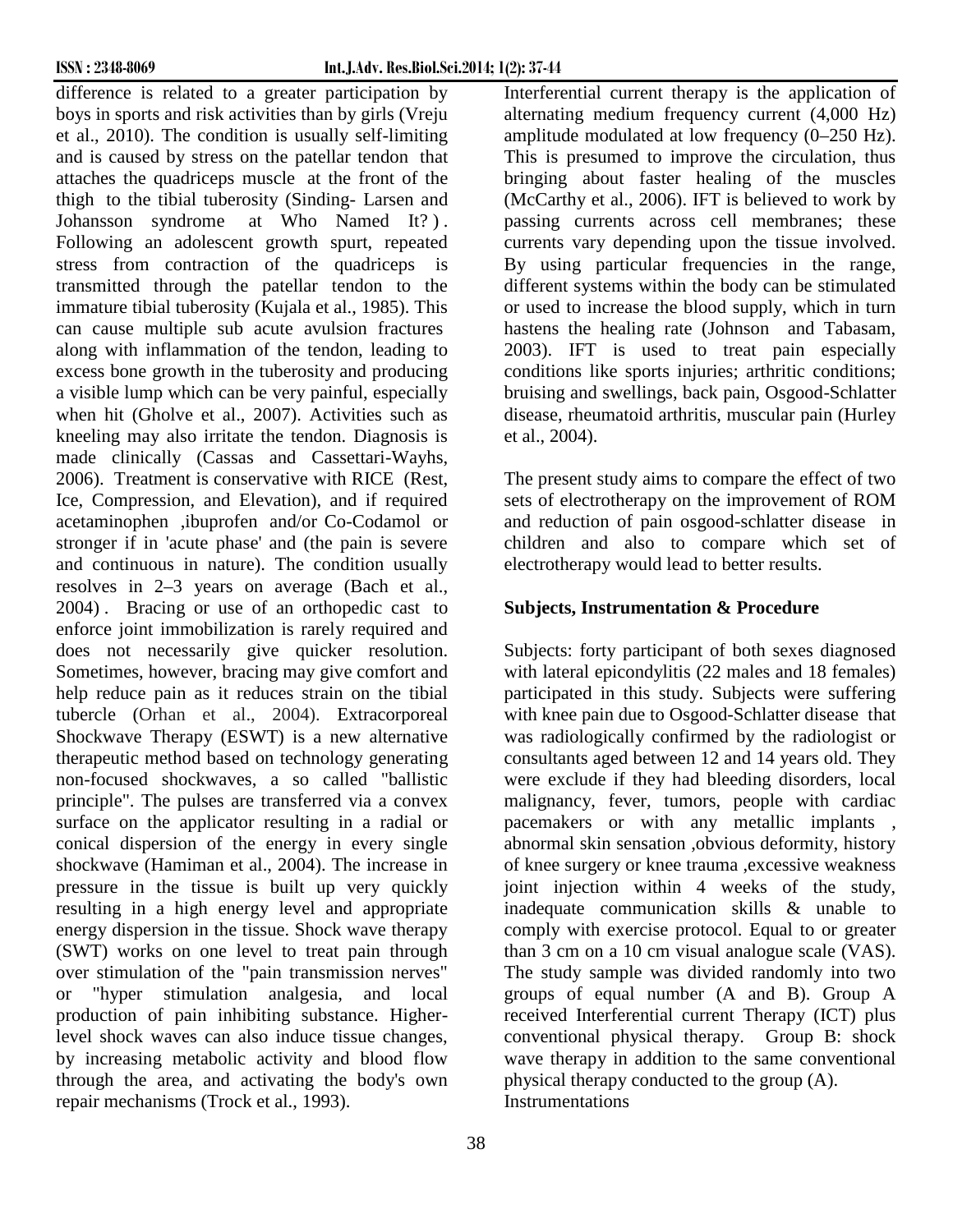difference is related to a greater participation by boys in sports and risk activities than by girls (Vreju et al., 2010). The condition is usually self-limiting and is caused by stress on the patellar tendon that attaches the quadriceps muscle at the front of the thigh to the tibial tuberosity (Sinding- Larsen and Johansson syndrome at Who Named It? ) . Following an adolescent growth spurt, repeated stress from contraction of the quadriceps is transmitted through the patellar tendon to the immature tibial tuberosity (Kujala et al., 1985). This can cause multiple sub acute avulsion fractures along with inflammation of the tendon, leading to excess bone growth in the tuberosity and producing a visible lump which can be very painful, especially when hit (Gholve et al., 2007). Activities such as kneeling may also irritate the tendon. Diagnosis is made clinically (Cassas and Cassettari-Wayhs, 2006). Treatment is conservative with RICE (Rest, Ice, Compression, and Elevation), and if required acetaminophen ,ibuprofen and/or Co-Codamol or stronger if in 'acute phase' and (the pain is severe and continuous in nature). The condition usually resolves in 2–3 years on average (Bach et al., 2004) . Bracing or use of an orthopedic cast to enforce joint immobilization is rarely required and does not necessarily give quicker resolution. Sometimes, however, bracing may give comfort and help reduce pain as it reduces strain on the tibial tubercle (Orhan et al., 2004). Extracorporeal Shockwave Therapy (ESWT) is a new alternative therapeutic method based on technology generating non-focused shockwaves, a so called "ballistic principle". The pulses are transferred via a convex surface on the applicator resulting in a radial or conical dispersion of the energy in every single shockwave (Hamiman et al., 2004). The increase in pressure in the tissue is built up very quickly resulting in a high energy level and appropriate energy dispersion in the tissue. Shock wave therapy (SWT) works on one level to treat pain through over stimulation of the "pain transmission nerves" or "hyper stimulation analgesia, and local production of pain inhibiting substance. Higherlevel shock waves can also induce tissue changes, by increasing metabolic activity and blood flow through the area, and activating the body's own repair mechanisms (Trock et al., 1993).

Interferential current therapy is the application of alternating medium frequency current (4,000 Hz) amplitude modulated at low frequency (0–250 Hz). This is presumed to improve the circulation, thus bringing about faster healing of the muscles (McCarthy et al., 2006). IFT is believed to work by passing currents across cell membranes; these currents vary depending upon the tissue involved. By using particular frequencies in the range, different systems within the body can be stimulated or used to increase the blood supply, which in turn hastens the healing rate (Johnson and Tabasam, 2003). IFT is used to treat pain especially conditions like sports injuries; arthritic conditions; bruising and swellings, back pain, Osgood-Schlatter disease, rheumatoid arthritis, muscular pain (Hurley et al., 2004).

The present study aims to compare the effect of two sets of electrotherapy on the improvement of ROM and reduction of pain osgood-schlatter disease in children and also to compare which set of electrotherapy would lead to better results.

# **Subjects, Instrumentation & Procedure**

Subjects: forty participant of both sexes diagnosed with lateral epicondylitis (22 males and 18 females) participated in this study. Subjects were suffering with knee pain due to Osgood-Schlatter disease that was radiologically confirmed by the radiologist or consultants aged between 12 and 14 years old. They were exclude if they had bleeding disorders, local malignancy, fever, tumors, people with cardiac pacemakers or with any metallic implants , abnormal skin sensation ,obvious deformity, history of knee surgery or knee trauma ,excessive weakness joint injection within 4 weeks of the study, inadequate communication skills & unable to comply with exercise protocol. Equal to or greater than 3 cm on a 10 cm visual analogue scale (VAS). The study sample was divided randomly into two groups of equal number (A and B). Group A received Interferential current Therapy (ICT) plus conventional physical therapy. Group B: shock wave therapy in addition to the same conventional physical therapy conducted to the group (A). **Instrumentations**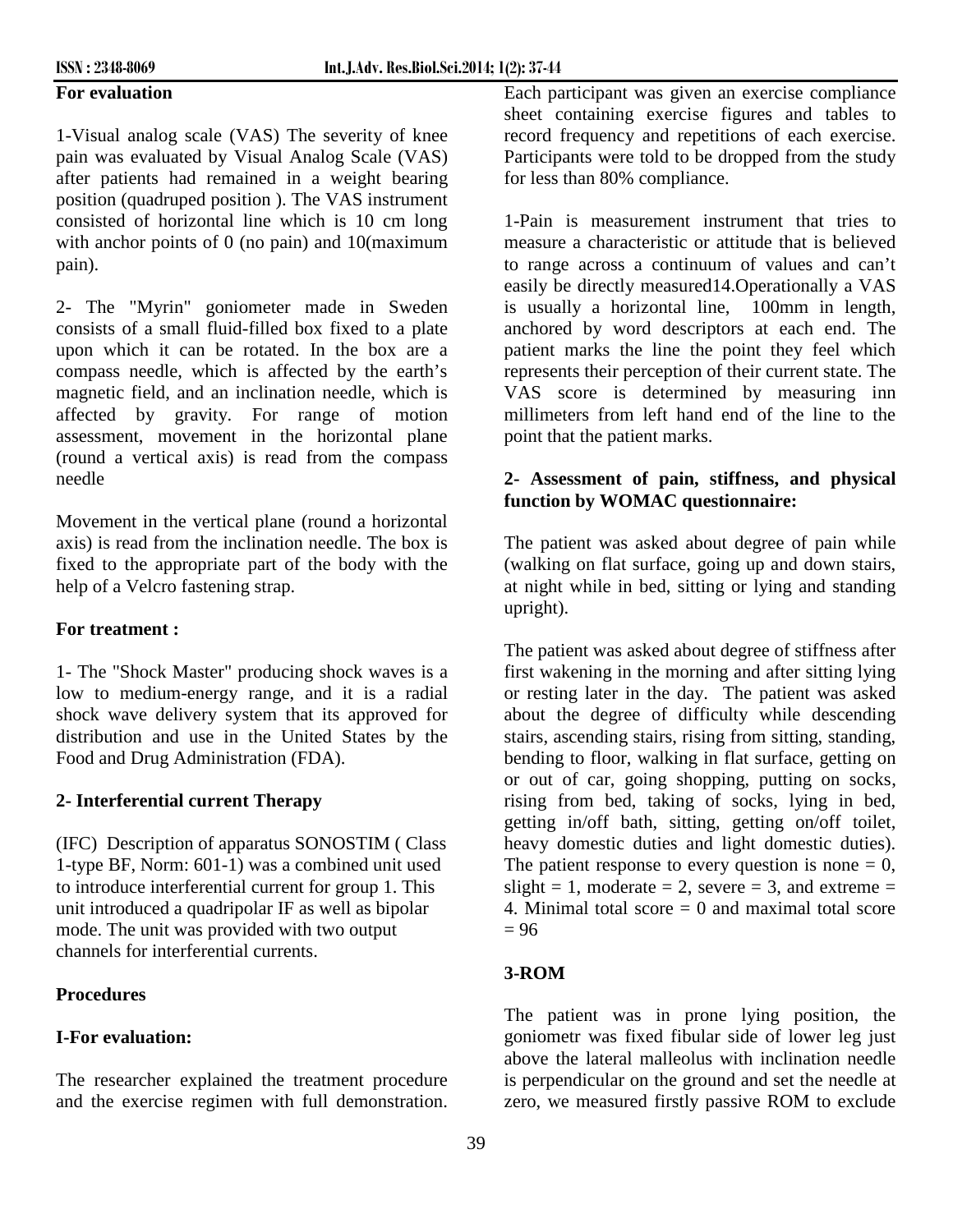### **For evaluation**

1-Visual analog scale (VAS) The severity of knee pain was evaluated by Visual Analog Scale (VAS) after patients had remained in a weight bearing position (quadruped position ). The VAS instrument consisted of horizontal line which is 10 cm long with anchor points of 0 (no pain) and 10 (maximum pain).

2- The "Myrin" goniometer made in Sweden consists of a small fluid-filled box fixed to a plate upon which it can be rotated. In the box are a compass needle, which is affected by the earth's magnetic field, and an inclination needle, which is affected by gravity. For range of motion assessment, movement in the horizontal plane (round a vertical axis) is read from the compass needle

Movement in the vertical plane (round a horizontal axis) is read from the inclination needle. The box is fixed to the appropriate part of the body with the help of a Velcro fastening strap.

#### **For treatment :**

1- The "Shock Master" producing shock waves is a low to medium-energy range, and it is a radial shock wave delivery system that its approved for distribution and use in the United States by the Food and Drug Administration (FDA).

### **2- Interferential current Therapy**

(IFC) Description of apparatus SONOSTIM ( Class 1-type BF, Norm: 601-1) was a combined unit used to introduce interferential current for group 1. This unit introduced a quadripolar IF as well as bipolar mode. The unit was provided with two output channels for interferential currents.

### **Procedures**

## **I-For evaluation:**

The researcher explained the treatment procedure and the exercise regimen with full demonstration. Each participant was given an exercise compliance sheet containing exercise figures and tables to record frequency and repetitions of each exercise. Participants were told to be dropped from the study for less than 80% compliance.

1-Pain is measurement instrument that tries to measure a characteristic or attitude that is believed to range across a continuum of values and can't easily be directly measured14.Operationally a VAS is usually a horizontal line, 100mm in length, anchored by word descriptors at each end. The patient marks the line the point they feel which represents their perception of their current state. The VAS score is determined by measuring inn millimeters from left hand end of the line to the point that the patient marks.

## **2- Assessment of pain, stiffness, and physical function by WOMAC questionnaire:**

The patient was asked about degree of pain while (walking on flat surface, going up and down stairs, at night while in bed, sitting or lying and standing upright).

The patient was asked about degree of stiffness after first wakening in the morning and after sitting lying or resting later in the day. The patient was asked about the degree of difficulty while descending stairs, ascending stairs, rising from sitting, standing, bending to floor, walking in flat surface, getting on or out of car, going shopping, putting on socks, rising from bed, taking of socks, lying in bed, getting in/off bath, sitting, getting on/off toilet, heavy domestic duties and light domestic duties). The patient response to every question is none  $= 0$ . slight = 1, moderate = 2, severe = 3, and extreme = 4. Minimal total score  $= 0$  and maximal total score  $= 96$ 

### **3-ROM**

The patient was in prone lying position, the goniometr was fixed fibular side of lower leg just above the lateral malleolus with inclination needle is perpendicular on the ground and set the needle at zero, we measured firstly passive ROM to exclude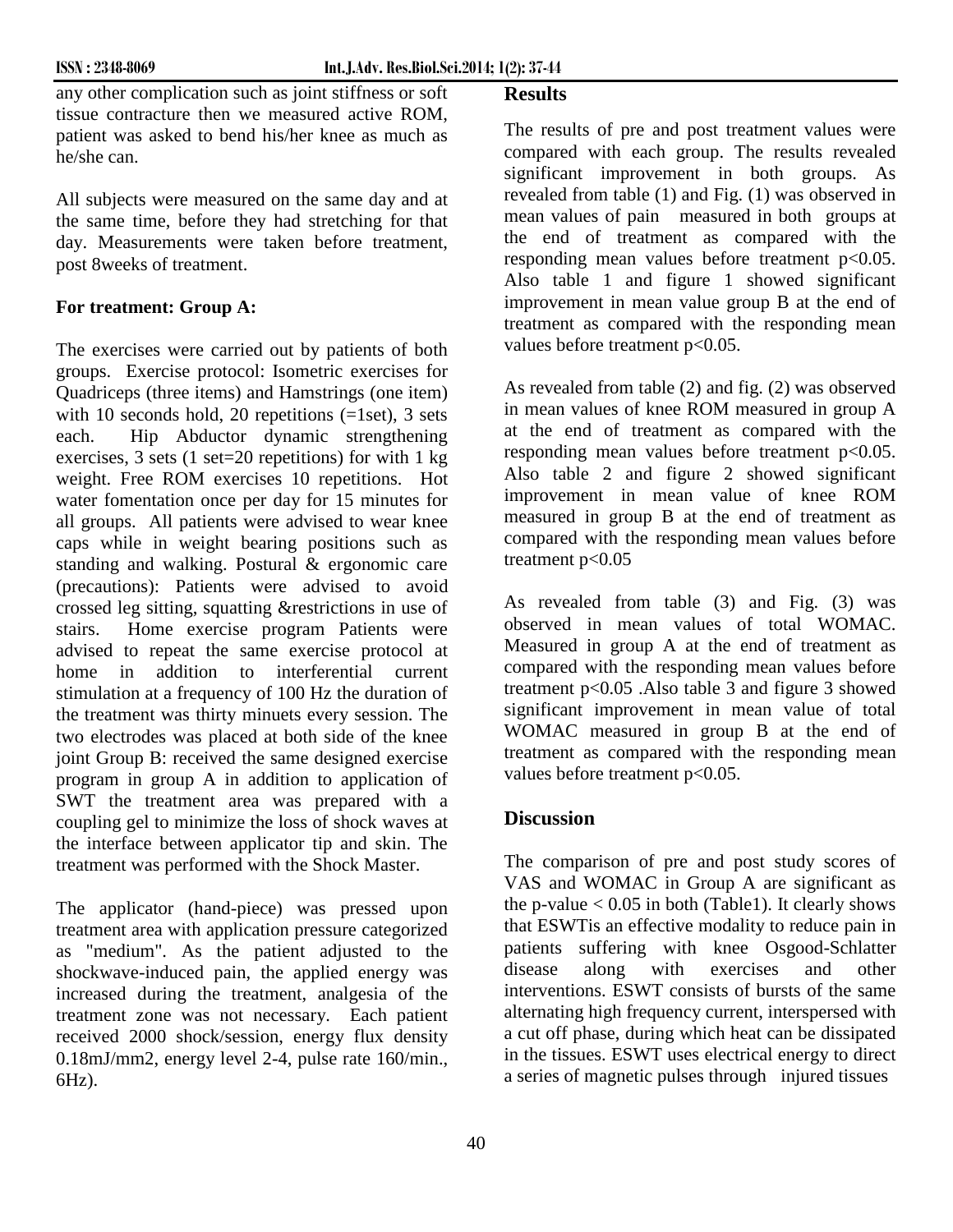any other complication such as joint stiffness or soft tissue contracture then we measured active ROM, patient was asked to bend his/her knee as much as he/she can.

All subjects were measured on the same day and at the same time, before they had stretching for that day. Measurements were taken before treatment, post 8weeks of treatment.

## **For treatment: Group A:**

The exercises were carried out by patients of both groups. Exercise protocol: Isometric exercises for Quadriceps (three items) and Hamstrings (one item) with 10 seconds hold, 20 repetitions  $(=\text{1set})$ , 3 sets each. Hip Abductor dynamic strengthening exercises, 3 sets (1 set=20 repetitions) for with 1 kg weight. Free ROM exercises 10 repetitions. Hot water fomentation once per day for 15 minutes for all groups. All patients were advised to wear knee caps while in weight bearing positions such as standing and walking. Postural & ergonomic care (precautions): Patients were advised to avoid crossed leg sitting, squatting &restrictions in use of stairs. Home exercise program Patients were advised to repeat the same exercise protocol at home in addition to interferential current stimulation at a frequency of 100 Hz the duration of the treatment was thirty minuets every session. The two electrodes was placed at both side of the knee joint Group B: received the same designed exercise program in group A in addition to application of SWT the treatment area was prepared with a coupling gel to minimize the loss of shock waves at the interface between applicator tip and skin. The treatment was performed with the Shock Master.

The applicator (hand-piece) was pressed upon treatment area with application pressure categorized as "medium". As the patient adjusted to the patients<br>shockwave-induced pain the applied energy was disease shockwave-induced pain, the applied energy was increased during the treatment, analgesia of the treatment zone was not necessary. Each patient received 2000 shock/session, energy flux density 0.18mJ/mm2, energy level 2-4, pulse rate 160/min., 6Hz).

## **Results**

The results of pre and post treatment values were compared with each group. The results revealed significant improvement in both groups. As revealed from table (1) and Fig. (1) was observed in mean values of pain measured in both groups at the end of treatment as compared with the responding mean values before treatment  $p<0.05$ . Also table 1 and figure 1 showed significant improvement in mean value group B at the end of treatment as compared with the responding mean values before treatment p<0.05.

As revealed from table (2) and fig. (2) was observed in mean values of knee ROM measured in group A at the end of treatment as compared with the responding mean values before treatment  $p<0.05$ . Also table 2 and figure 2 showed significant improvement in mean value of knee ROM measured in group B at the end of treatment as compared with the responding mean values before treatment  $p<0.05$ 

As revealed from table (3) and Fig. (3) was observed in mean values of total WOMAC. Measured in group A at the end of treatment as compared with the responding mean values before treatment p<0.05 .Also table 3 and figure 3 showed significant improvement in mean value of total WOMAC measured in group B at the end of treatment as compared with the responding mean values before treatment p<0.05.

# **Discussion**

The comparison of pre and post study scores of VAS and WOMAC in Group A are significant as the p-value  $< 0.05$  in both (Table1). It clearly shows that ESWTis an effective modality to reduce pain in patients suffering with knee Osgood-Schlatter along with exercises and other interventions. ESWT consists of bursts of the same alternating high frequency current, interspersed with a cut off phase, during which heat can be dissipated in the tissues. ESWT uses electrical energy to direct a series of magnetic pulses through injured tissues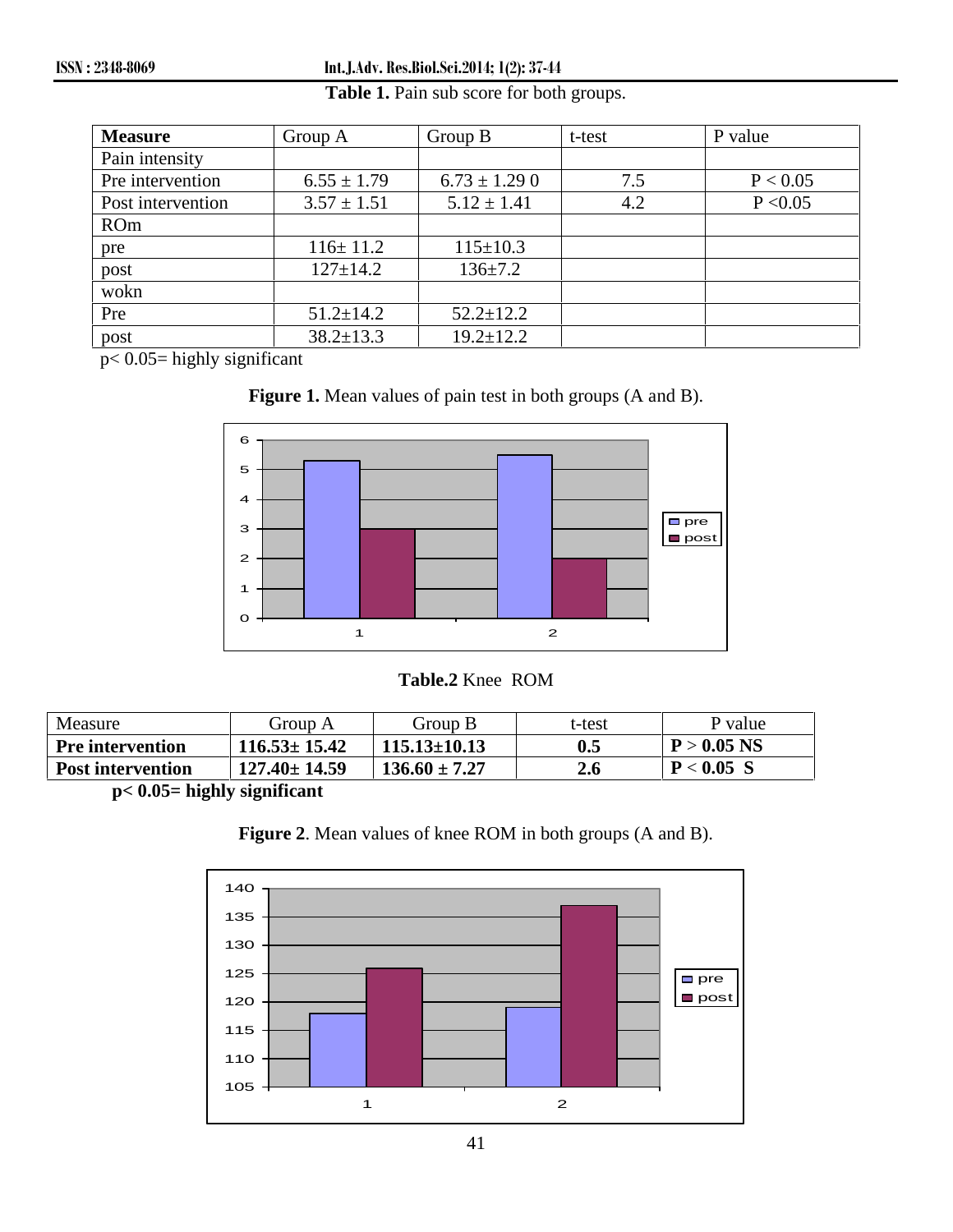| <b>Measure</b>    | Group A         | Group B          | t-test | P value  |
|-------------------|-----------------|------------------|--------|----------|
| Pain intensity    |                 |                  |        |          |
| Pre intervention  | $6.55 \pm 1.79$ | $6.73 \pm 1.290$ | 7.5    | P < 0.05 |
| Post intervention | $3.57 \pm 1.51$ | $5.12 \pm 1.41$  | 4.2    | P < 0.05 |
| <b>ROm</b>        |                 |                  |        |          |
| pre               | $116 \pm 11.2$  | $115 \pm 10.3$   |        |          |
| post              | $127 \pm 14.2$  | $136 \pm 7.2$    |        |          |
| wokn              |                 |                  |        |          |
| Pre               | $51.2 \pm 14.2$ | $52.2 \pm 12.2$  |        |          |
| post              | $38.2 \pm 13.3$ | $19.2 \pm 12.2$  |        |          |

## **Table 1.** Pain sub score for both groups.

p< 0.05= highly significant





## **Table.2** Knee ROM

| Measure                  | Group A            | Group B            | t-test | P value       |
|--------------------------|--------------------|--------------------|--------|---------------|
| Pre intervention         | $116.53 \pm 15.42$ | $115.13 \pm 10.13$ | 0.5    | $P > 0.05$ NS |
| <b>Post intervention</b> | $127.40 \pm 14.59$ | $136.60 \pm 7.27$  |        | $P < 0.05$ S  |

**p< 0.05= highly significant**



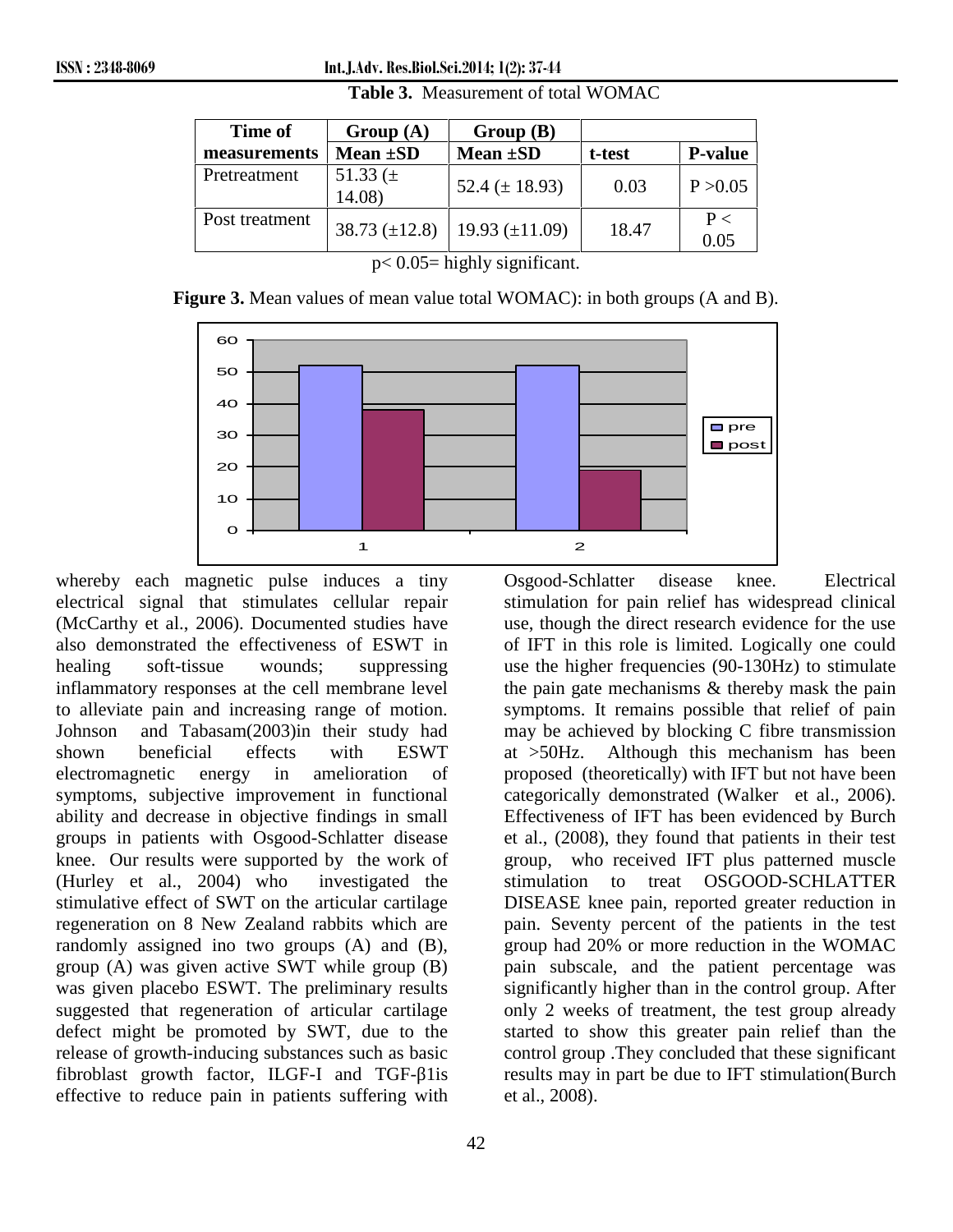**ISSN : 2348-8069 Int.J.Adv. Res.Biol.Sci.2014; 1(2): 37-44**

| Time of        | Group(A)               | Group(B)            |        |                  |
|----------------|------------------------|---------------------|--------|------------------|
| measurements   | Mean $\pm SD$          | Mean $\pm SD$       | t-test | <b>P-value</b>   |
| Pretreatment   | 51.33 $(\pm$<br>14.08) | 52.4 ( $\pm$ 18.93) | 0.03   | P > 0.05         |
| Post treatment | $38.73 \ (\pm 12.8)$   | 19.93 $(\pm 11.09)$ | 18.47  | $P \leq$<br>0.05 |

**Table 3.** Measurement of total WOMAC

 $p< 0.05$ = highly significant.

**Figure 3.** Mean values of mean value total WOMAC): in both groups (A and B).



whereby each magnetic pulse induces a tiny electrical signal that stimulates cellular repair (McCarthy et al., 2006). Documented studies have also demonstrated the effectiveness of ESWT in healing soft-tissue wounds; suppressing inflammatory responses at the cell membrane level to alleviate pain and increasing range of motion. Johnson and Tabasam(2003)in their study had shown beneficial effects with ESWT at >50Hz. electromagnetic energy in amelioration of symptoms, subjective improvement in functional ability and decrease in objective findings in small groups in patients with Osgood-Schlatter disease knee. Our results were supported by the work of (Hurley et al., 2004) who investigated the stimulative effect of SWT on the articular cartilage regeneration on 8 New Zealand rabbits which are randomly assigned ino two groups (A) and (B), group (A) was given active SWT while group (B) was given placebo ESWT. The preliminary results suggested that regeneration of articular cartilage defect might be promoted by SWT, due to the release of growth-inducing substances such as basic fibroblast growth factor, ILGF-I and TGF- 1is effective to reduce pain in patients suffering with

use, though the direct research evidence for the use of IFT in this role is limited. Logically one could use the higher frequencies (90-130Hz) to stimulate the pain gate mechanisms & thereby mask the pain symptoms. It remains possible that relief of pain may be achieved by blocking C fibre transmission Although this mechanism has been proposed (theoretically) with IFT but not have been categorically demonstrated (Walker et al., 2006). Effectiveness of IFT has been evidenced by Burch et al., (2008), they found that patients in their test group, who received IFT plus patterned muscle stimulation to treat OSGOOD-SCHLATTER DISEASE knee pain, reported greater reduction in pain. Seventy percent of the patients in the test group had 20% or more reduction in the WOMAC pain subscale, and the patient percentage was significantly higher than in the control group. After only 2 weeks of treatment, the test group already started to show this greater pain relief than the control group .They concluded that these significant results may in part be due to IFT stimulation(Burch et al., 2008).

Osgood-Schlatter disease knee. Electrical stimulation for pain relief has widespread clinical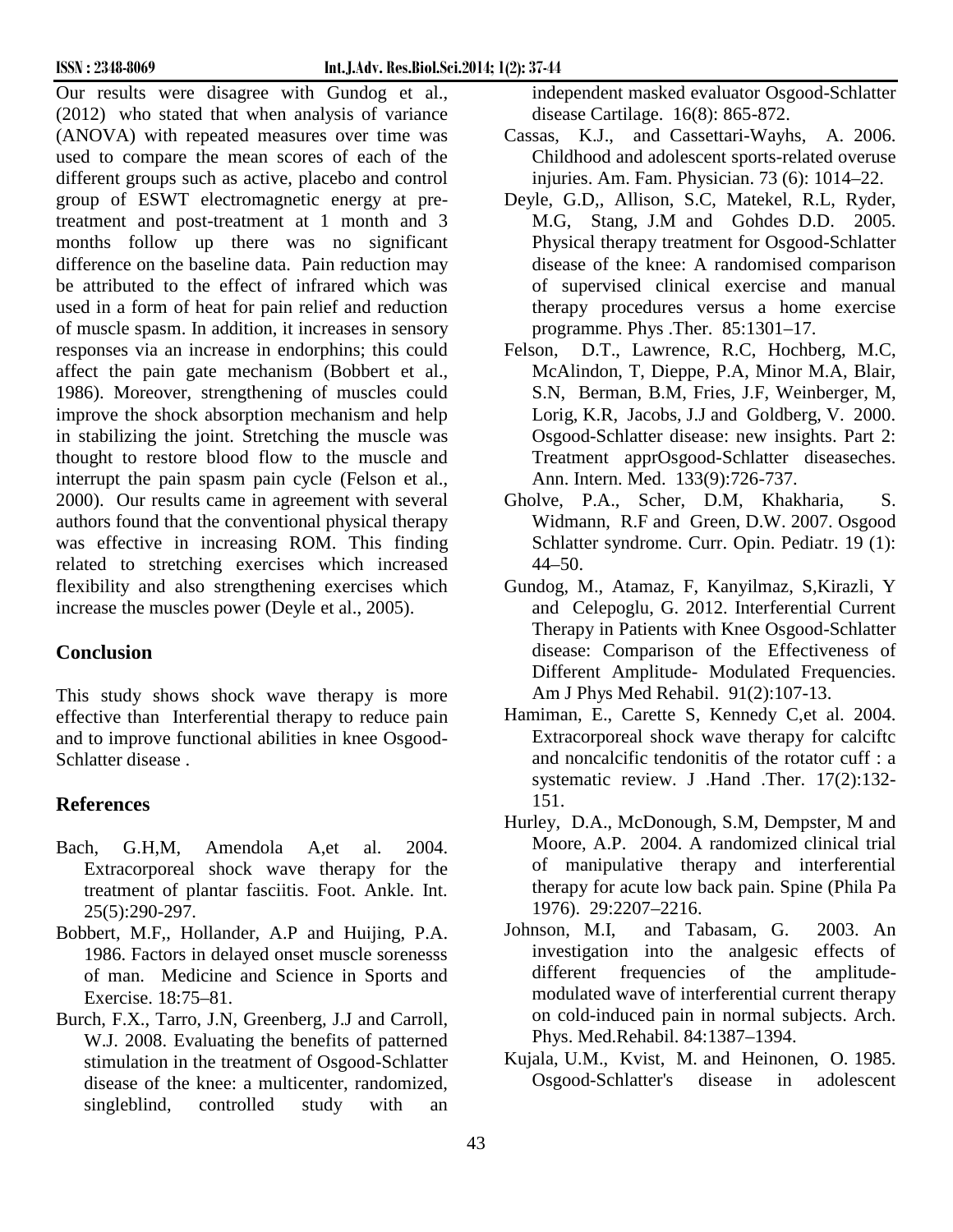Our results were disagree with Gundog et al., (2012) who stated that when analysis of variance (ANOVA) with repeated measures over time was used to compare the mean scores of each of the different groups such as active, placebo and control group of ESWT electromagnetic energy at pretreatment and post-treatment at 1 month and 3 months follow up there was no significant difference on the baseline data. Pain reduction may be attributed to the effect of infrared which was used in a form of heat for pain relief and reduction of muscle spasm. In addition, it increases in sensory responses via an increase in endorphins; this could affect the pain gate mechanism (Bobbert et al., 1986). Moreover, strengthening of muscles could improve the shock absorption mechanism and help in stabilizing the joint. Stretching the muscle was thought to restore blood flow to the muscle and interrupt the pain spasm pain cycle (Felson et al., 2000). Our results came in agreement with several authors found that the conventional physical therapy was effective in increasing ROM. This finding related to stretching exercises which increased flexibility and also strengthening exercises which increase the muscles power (Deyle et al., 2005).

# **Conclusion**

This study shows shock wave therapy is more effective than Interferential therapy to reduce pain and to improve functional abilities in knee Osgood- Schlatter disease .

# **References**

- Bach, G.H,M, Amendola A,et al. 2004. Extracorporeal shock wave therapy for the treatment of plantar fasciitis. Foot. Ankle. Int. 25(5):290-297.
- Bobbert, M.F,, Hollander, A.P and Huijing, P.A. 1986. Factors in delayed onset muscle sorenesss of man. Medicine and Science in Sports and Exercise. 18:75–81.
- Burch, F.X., Tarro, J.N, Greenberg, J.J and Carroll, W.J. 2008. Evaluating the benefits of patterned stimulation in the treatment of Osgood-Schlatter disease of the knee: a multicenter, randomized, singleblind, controlled study with an

independent masked evaluator Osgood-Schlatter disease Cartilage. 16(8): 865-872.

- Cassas, K.J., and Cassettari-Wayhs, A. 2006. Childhood and adolescent sports-related overuse injuries. Am. Fam. Physician. 73 (6): 1014–22.
- Deyle, G.D,, Allison, S.C, Matekel, R.L, Ryder, M.G, Stang, J.M and Gohdes D.D. 2005. Physical therapy treatment for Osgood-Schlatter disease of the knee: A randomised comparison of supervised clinical exercise and manual therapy procedures versus a home exercise programme. Phys .Ther. 85:1301–17.
- Felson, D.T., Lawrence, R.C, Hochberg, M.C, McAlindon, T, Dieppe, P.A, Minor M.A, Blair, S.N, Berman, B.M, Fries, J.F, Weinberger, M, Lorig, K.R, Jacobs, J.J and Goldberg, V. 2000. Osgood-Schlatter disease: new insights. Part 2: Treatment apprOsgood-Schlatter diseaseches. Ann. Intern. Med. 133(9):726-737.
- Gholve, P.A., Scher, D.M, Khakharia, S. Widmann, R.F and Green, D.W. 2007. Osgood Schlatter syndrome. Curr. Opin. Pediatr. 19 (1): 44–50.
- Gundog, M., Atamaz, F, Kanyilmaz, S,Kirazli, Y and Celepoglu, G. 2012. Interferential Current Therapy in Patients with Knee Osgood-Schlatter disease: Comparison of the Effectiveness of Different Amplitude- Modulated Frequencies. Am J Phys Med Rehabil. 91(2):107-13.
- Hamiman, E., Carette S, Kennedy C,et al. 2004. Extracorporeal shock wave therapy for calciftc and noncalcific tendonitis of the rotator cuff : a systematic review. J .Hand .Ther. 17(2):132- 151.
- Hurley, D.A., McDonough, S.M, Dempster, M and Moore, A.P. 2004. A randomized clinical trial of manipulative therapy and interferential therapy for acute low back pain. Spine (Phila Pa 1976). 29:2207–2216.
- Johnson, M.I, and Tabasam, G. 2003. An investigation into the analgesic effects of different frequencies of the amplitude modulated wave of interferential current therapy on cold-induced pain in normal subjects. Arch. Phys. Med.Rehabil. 84:1387–1394.
- Kujala, U.M., Kvist, M. and Heinonen, O. 1985. Osgood-Schlatter's disease in adolescent